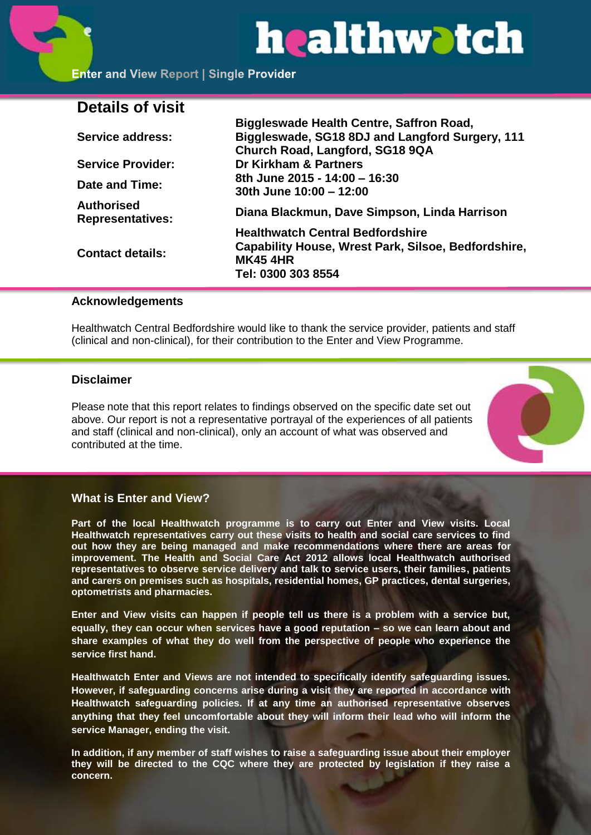# healthwatch

**Biggleswade Health Centre, Saffron Road,** 

# **Details of visit**

| <b>Service address:</b>                      | <u>Biyyieswade Health Centre, Sanfon Koad,</u><br>Biggleswade, SG18 8DJ and Langford Surgery, 111<br>Church Road, Langford, SG18 9QA    |
|----------------------------------------------|-----------------------------------------------------------------------------------------------------------------------------------------|
| <b>Service Provider:</b>                     | Dr Kirkham & Partners                                                                                                                   |
| Date and Time:                               | 8th June 2015 - 14:00 - 16:30<br>30th June 10:00 - 12:00                                                                                |
| <b>Authorised</b><br><b>Representatives:</b> | Diana Blackmun, Dave Simpson, Linda Harrison                                                                                            |
| <b>Contact details:</b>                      | <b>Healthwatch Central Bedfordshire</b><br>Capability House, Wrest Park, Silsoe, Bedfordshire,<br><b>MK45 4HR</b><br>Tel: 0300 303 8554 |

#### **Acknowledgements**

Healthwatch Central Bedfordshire would like to thank the service provider, patients and staff (clinical and non-clinical), for their contribution to the Enter and View Programme.

#### **Disclaimer**

Please note that this report relates to findings observed on the specific date set out above. Our report is not a representative portrayal of the experiences of all patients and staff (clinical and non-clinical), only an account of what was observed and contributed at the time.



#### **What is Enter and View?**

**Part of the local Healthwatch programme is to carry out Enter and View visits. Local Healthwatch representatives carry out these visits to health and social care services to find out how they are being managed and make recommendations where there are areas for improvement. The Health and Social Care Act 2012 allows local Healthwatch authorised representatives to observe service delivery and talk to service users, their families, patients and carers on premises such as hospitals, residential homes, GP practices, dental surgeries, optometrists and pharmacies.** 

**Enter and View visits can happen if people tell us there is a problem with a service but, equally, they can occur when services have a good reputation – so we can learn about and share examples of what they do well from the perspective of people who experience the service first hand.**

**Healthwatch Enter and Views are not intended to specifically identify safeguarding issues. However, if safeguarding concerns arise during a visit they are reported in accordance with Healthwatch safeguarding policies. If at any time an authorised representative observes anything that they feel uncomfortable about they will inform their lead who will inform the service Manager, ending the visit.** 

**In addition, if any member of staff wishes to raise a safeguarding issue about their employer they will be directed to the CQC where they are protected by legislation if they raise a concern.**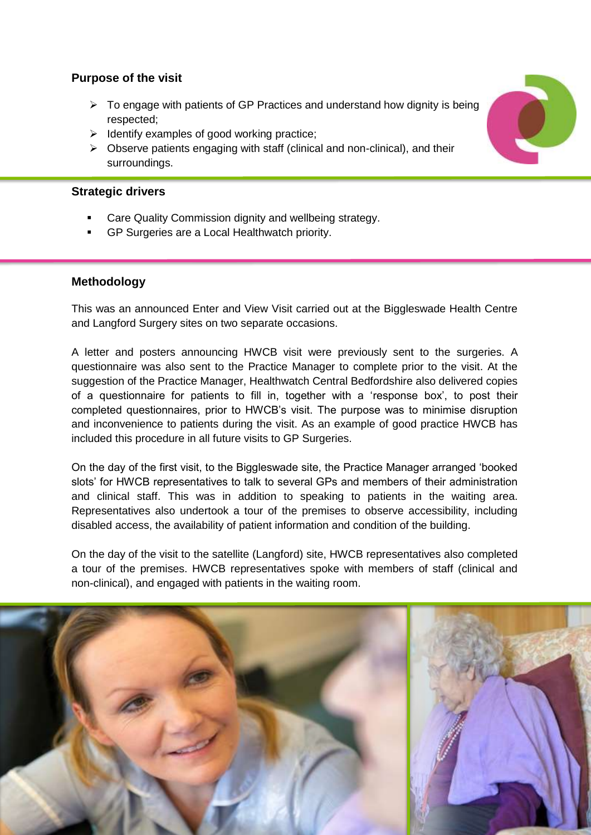# **Purpose of the visit**

- $\triangleright$  To engage with patients of GP Practices and understand how dignity is being respected;
- $\triangleright$  Identify examples of good working practice;
- $\triangleright$  Observe patients engaging with staff (clinical and non-clinical), and their surroundings.

# **Strategic drivers**

- Care Quality Commission dignity and wellbeing strategy.
- GP Surgeries are a Local Healthwatch priority.

# **Methodology**

This was an announced Enter and View Visit carried out at the Biggleswade Health Centre and Langford Surgery sites on two separate occasions.

A letter and posters announcing HWCB visit were previously sent to the surgeries. A questionnaire was also sent to the Practice Manager to complete prior to the visit. At the suggestion of the Practice Manager, Healthwatch Central Bedfordshire also delivered copies of a questionnaire for patients to fill in, together with a 'response box', to post their completed questionnaires, prior to HWCB's visit. The purpose was to minimise disruption and inconvenience to patients during the visit. As an example of good practice HWCB has included this procedure in all future visits to GP Surgeries.

On the day of the first visit, to the Biggleswade site, the Practice Manager arranged 'booked slots' for HWCB representatives to talk to several GPs and members of their administration and clinical staff. This was in addition to speaking to patients in the waiting area. Representatives also undertook a tour of the premises to observe accessibility, including disabled access, the availability of patient information and condition of the building.

On the day of the visit to the satellite (Langford) site, HWCB representatives also completed a tour of the premises. HWCB representatives spoke with members of staff (clinical and non-clinical), and engaged with patients in the waiting room.



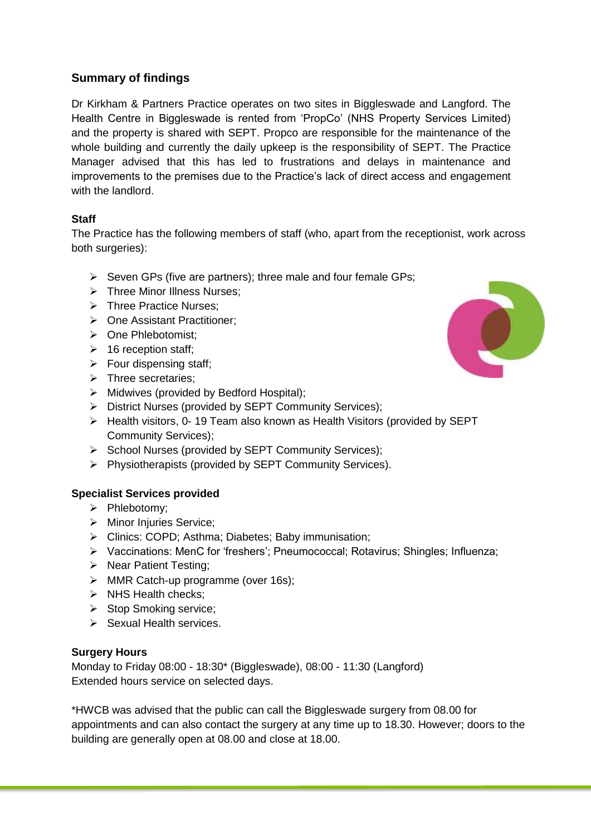# **Summary of findings**

Dr Kirkham & Partners Practice operates on two sites in Biggleswade and Langford. The Health Centre in Biggleswade is rented from 'PropCo' (NHS Property Services Limited) and the property is shared with SEPT. Propco are responsible for the maintenance of the whole building and currently the daily upkeep is the responsibility of SEPT. The Practice Manager advised that this has led to frustrations and delays in maintenance and improvements to the premises due to the Practice's lack of direct access and engagement with the landlord.

### **Staff**

The Practice has the following members of staff (who, apart from the receptionist, work across both surgeries):

- $\triangleright$  Seven GPs (five are partners); three male and four female GPs;
- $\triangleright$  Three Minor Illness Nurses:
- > Three Practice Nurses;
- $\triangleright$  One Assistant Practitioner:
- > One Phlebotomist:
- $\geq$  16 reception staff;
- $\triangleright$  Four dispensing staff;
- $\triangleright$  Three secretaries:
- $\triangleright$  Midwives (provided by Bedford Hospital);
- District Nurses (provided by SEPT Community Services);
- Health visitors, 0- 19 Team also known as Health Visitors (provided by SEPT Community Services);
- School Nurses (provided by SEPT Community Services);
- $\triangleright$  Physiotherapists (provided by SEPT Community Services).

# **Specialist Services provided**

- $\triangleright$  Phlebotomy:
- > Minor Injuries Service;
- Clinics: COPD; Asthma; Diabetes; Baby immunisation;
- Vaccinations: MenC for 'freshers'; Pneumococcal; Rotavirus; Shingles; Influenza;
- $\triangleright$  Near Patient Testing;
- > MMR Catch-up programme (over 16s);
- $\triangleright$  NHS Health checks;
- $\triangleright$  Stop Smoking service;
- $\triangleright$  Sexual Health services.

#### **Surgery Hours**

Monday to Friday 08:00 - 18:30\* (Biggleswade), 08:00 - 11:30 (Langford) Extended hours service on selected days.

\*HWCB was advised that the public can call the Biggleswade surgery from 08.00 for appointments and can also contact the surgery at any time up to 18.30. However; doors to the building are generally open at 08.00 and close at 18.00.

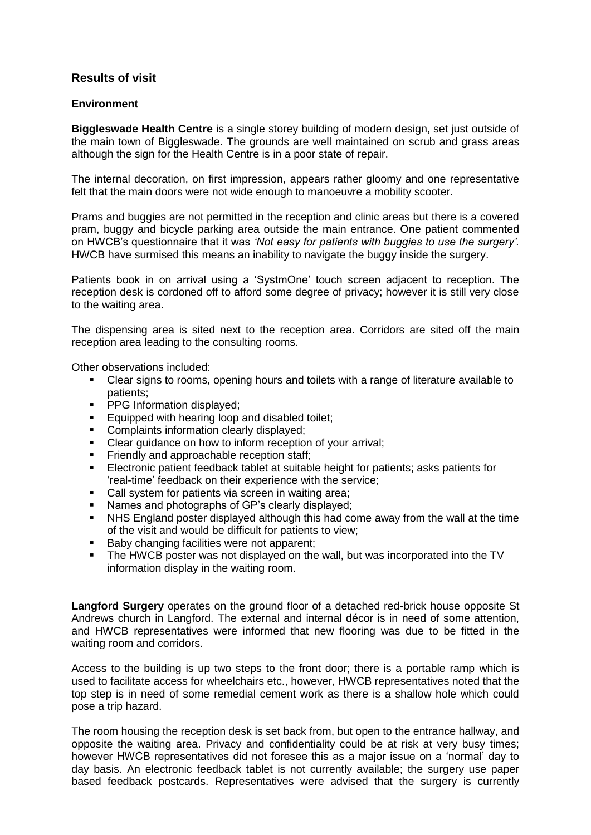# **Results of visit**

#### **Environment**

**Biggleswade Health Centre** is a single storey building of modern design, set just outside of the main town of Biggleswade. The grounds are well maintained on scrub and grass areas although the sign for the Health Centre is in a poor state of repair.

The internal decoration, on first impression, appears rather gloomy and one representative felt that the main doors were not wide enough to manoeuvre a mobility scooter.

Prams and buggies are not permitted in the reception and clinic areas but there is a covered pram, buggy and bicycle parking area outside the main entrance. One patient commented on HWCB's questionnaire that it was *'Not easy for patients with buggies to use the surgery'.* HWCB have surmised this means an inability to navigate the buggy inside the surgery.

Patients book in on arrival using a 'SystmOne' touch screen adjacent to reception. The reception desk is cordoned off to afford some degree of privacy; however it is still very close to the waiting area.

The dispensing area is sited next to the reception area. Corridors are sited off the main reception area leading to the consulting rooms.

Other observations included:

- Clear signs to rooms, opening hours and toilets with a range of literature available to patients;
- **PPG Information displayed;**
- **Equipped with hearing loop and disabled toilet;**<br>**Complaints information clearly displayed;**
- Complaints information clearly displayed;
- Clear guidance on how to inform reception of your arrival;
- Friendly and approachable reception staff;
- Electronic patient feedback tablet at suitable height for patients; asks patients for 'real-time' feedback on their experience with the service;
- Call system for patients via screen in waiting area;
- Names and photographs of GP's clearly displayed;
- NHS England poster displayed although this had come away from the wall at the time of the visit and would be difficult for patients to view;
- Baby changing facilities were not apparent;
- The HWCB poster was not displayed on the wall, but was incorporated into the TV information display in the waiting room.

**Langford Surgery** operates on the ground floor of a detached red-brick house opposite St Andrews church in Langford. The external and internal décor is in need of some attention, and HWCB representatives were informed that new flooring was due to be fitted in the waiting room and corridors.

Access to the building is up two steps to the front door; there is a portable ramp which is used to facilitate access for wheelchairs etc., however, HWCB representatives noted that the top step is in need of some remedial cement work as there is a shallow hole which could pose a trip hazard.

The room housing the reception desk is set back from, but open to the entrance hallway, and opposite the waiting area. Privacy and confidentiality could be at risk at very busy times; however HWCB representatives did not foresee this as a major issue on a 'normal' day to day basis. An electronic feedback tablet is not currently available; the surgery use paper based feedback postcards. Representatives were advised that the surgery is currently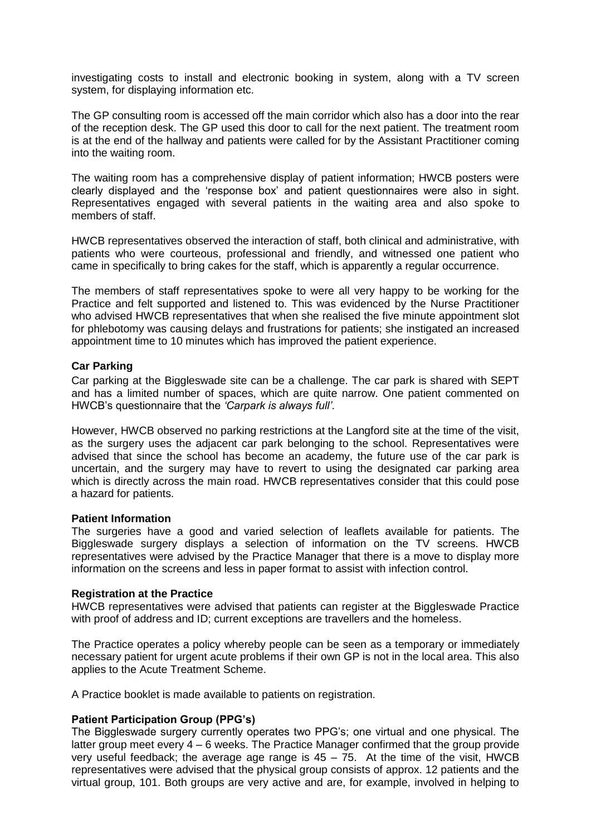investigating costs to install and electronic booking in system, along with a TV screen system, for displaying information etc.

The GP consulting room is accessed off the main corridor which also has a door into the rear of the reception desk. The GP used this door to call for the next patient. The treatment room is at the end of the hallway and patients were called for by the Assistant Practitioner coming into the waiting room.

The waiting room has a comprehensive display of patient information; HWCB posters were clearly displayed and the 'response box' and patient questionnaires were also in sight. Representatives engaged with several patients in the waiting area and also spoke to members of staff.

HWCB representatives observed the interaction of staff, both clinical and administrative, with patients who were courteous, professional and friendly, and witnessed one patient who came in specifically to bring cakes for the staff, which is apparently a regular occurrence.

The members of staff representatives spoke to were all very happy to be working for the Practice and felt supported and listened to. This was evidenced by the Nurse Practitioner who advised HWCB representatives that when she realised the five minute appointment slot for phlebotomy was causing delays and frustrations for patients; she instigated an increased appointment time to 10 minutes which has improved the patient experience.

#### **Car Parking**

Car parking at the Biggleswade site can be a challenge. The car park is shared with SEPT and has a limited number of spaces, which are quite narrow. One patient commented on HWCB's questionnaire that the *'Carpark is always full'*.

However, HWCB observed no parking restrictions at the Langford site at the time of the visit, as the surgery uses the adjacent car park belonging to the school. Representatives were advised that since the school has become an academy, the future use of the car park is uncertain, and the surgery may have to revert to using the designated car parking area which is directly across the main road. HWCB representatives consider that this could pose a hazard for patients.

#### **Patient Information**

The surgeries have a good and varied selection of leaflets available for patients. The Biggleswade surgery displays a selection of information on the TV screens. HWCB representatives were advised by the Practice Manager that there is a move to display more information on the screens and less in paper format to assist with infection control.

#### **Registration at the Practice**

HWCB representatives were advised that patients can register at the Biggleswade Practice with proof of address and ID; current exceptions are travellers and the homeless.

The Practice operates a policy whereby people can be seen as a temporary or immediately necessary patient for urgent acute problems if their own GP is not in the local area. This also applies to the Acute Treatment Scheme.

A Practice booklet is made available to patients on registration.

#### **Patient Participation Group (PPG's)**

The Biggleswade surgery currently operates two PPG's; one virtual and one physical. The latter group meet every 4 – 6 weeks. The Practice Manager confirmed that the group provide very useful feedback; the average age range is  $45 - 75$ . At the time of the visit, HWCB representatives were advised that the physical group consists of approx. 12 patients and the virtual group, 101. Both groups are very active and are, for example, involved in helping to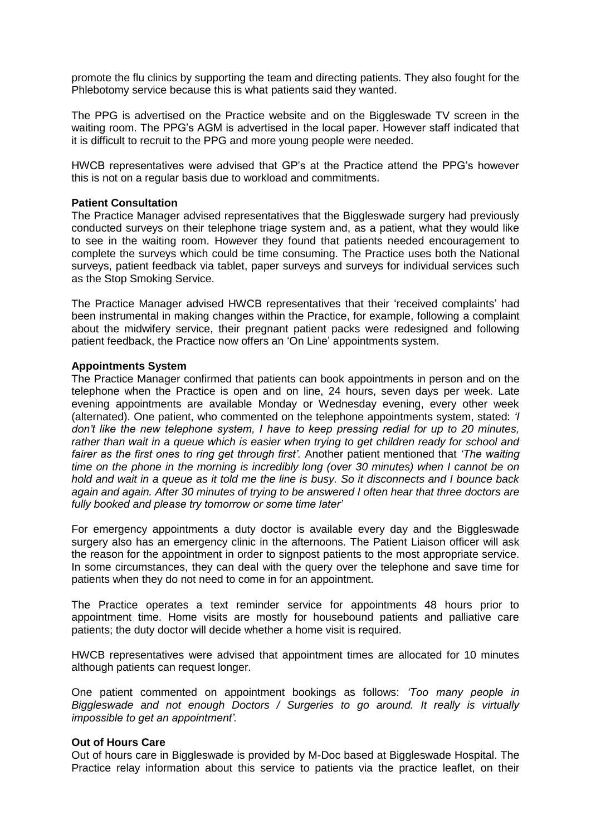promote the flu clinics by supporting the team and directing patients. They also fought for the Phlebotomy service because this is what patients said they wanted.

The PPG is advertised on the Practice website and on the Biggleswade TV screen in the waiting room. The PPG's AGM is advertised in the local paper. However staff indicated that it is difficult to recruit to the PPG and more young people were needed.

HWCB representatives were advised that GP's at the Practice attend the PPG's however this is not on a regular basis due to workload and commitments.

#### **Patient Consultation**

The Practice Manager advised representatives that the Biggleswade surgery had previously conducted surveys on their telephone triage system and, as a patient, what they would like to see in the waiting room. However they found that patients needed encouragement to complete the surveys which could be time consuming. The Practice uses both the National surveys, patient feedback via tablet, paper surveys and surveys for individual services such as the Stop Smoking Service.

The Practice Manager advised HWCB representatives that their 'received complaints' had been instrumental in making changes within the Practice, for example, following a complaint about the midwifery service, their pregnant patient packs were redesigned and following patient feedback, the Practice now offers an 'On Line' appointments system.

#### **Appointments System**

The Practice Manager confirmed that patients can book appointments in person and on the telephone when the Practice is open and on line, 24 hours, seven days per week. Late evening appointments are available Monday or Wednesday evening, every other week (alternated). One patient, who commented on the telephone appointments system, stated: *'I don't like the new telephone system, I have to keep pressing redial for up to 20 minutes, rather than wait in a queue which is easier when trying to get children ready for school and fairer as the first ones to ring get through first'.* Another patient mentioned that *'The waiting time on the phone in the morning is incredibly long (over 30 minutes) when I cannot be on hold and wait in a queue as it told me the line is busy. So it disconnects and I bounce back again and again. After 30 minutes of trying to be answered I often hear that three doctors are fully booked and please try tomorrow or some time later'*

For emergency appointments a duty doctor is available every day and the Biggleswade surgery also has an emergency clinic in the afternoons. The Patient Liaison officer will ask the reason for the appointment in order to signpost patients to the most appropriate service. In some circumstances, they can deal with the query over the telephone and save time for patients when they do not need to come in for an appointment.

The Practice operates a text reminder service for appointments 48 hours prior to appointment time. Home visits are mostly for housebound patients and palliative care patients; the duty doctor will decide whether a home visit is required.

HWCB representatives were advised that appointment times are allocated for 10 minutes although patients can request longer.

One patient commented on appointment bookings as follows: *'Too many people in Biggleswade and not enough Doctors / Surgeries to go around. It really is virtually impossible to get an appointment'.*

#### **Out of Hours Care**

Out of hours care in Biggleswade is provided by M-Doc based at Biggleswade Hospital. The Practice relay information about this service to patients via the practice leaflet, on their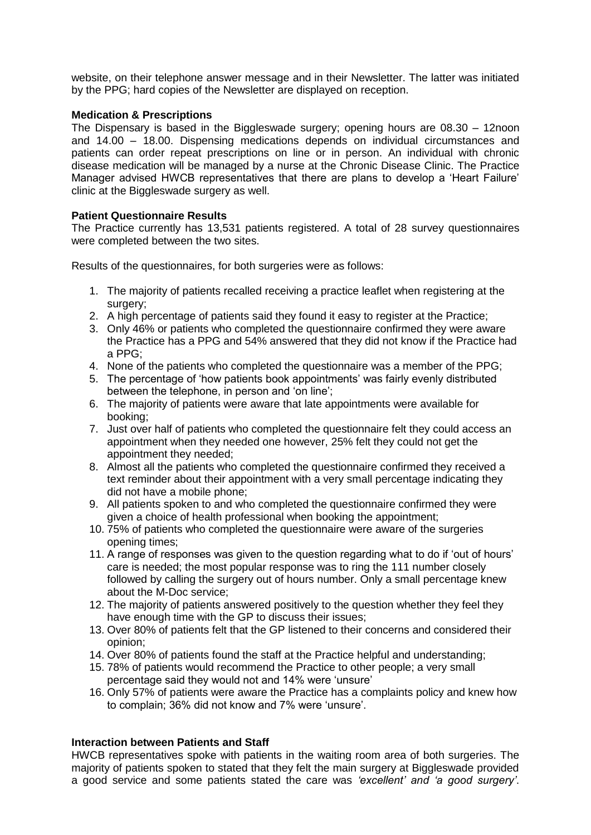website, on their telephone answer message and in their Newsletter. The latter was initiated by the PPG; hard copies of the Newsletter are displayed on reception.

#### **Medication & Prescriptions**

The Dispensary is based in the Biggleswade surgery; opening hours are 08.30 – 12noon and 14.00 – 18.00. Dispensing medications depends on individual circumstances and patients can order repeat prescriptions on line or in person. An individual with chronic disease medication will be managed by a nurse at the Chronic Disease Clinic. The Practice Manager advised HWCB representatives that there are plans to develop a 'Heart Failure' clinic at the Biggleswade surgery as well.

#### **Patient Questionnaire Results**

The Practice currently has 13,531 patients registered. A total of 28 survey questionnaires were completed between the two sites.

Results of the questionnaires, for both surgeries were as follows:

- 1. The majority of patients recalled receiving a practice leaflet when registering at the surgery:
- 2. A high percentage of patients said they found it easy to register at the Practice;
- 3. Only 46% or patients who completed the questionnaire confirmed they were aware the Practice has a PPG and 54% answered that they did not know if the Practice had a PPG;
- 4. None of the patients who completed the questionnaire was a member of the PPG;
- 5. The percentage of 'how patients book appointments' was fairly evenly distributed between the telephone, in person and 'on line';
- 6. The majority of patients were aware that late appointments were available for booking;
- 7. Just over half of patients who completed the questionnaire felt they could access an appointment when they needed one however, 25% felt they could not get the appointment they needed;
- 8. Almost all the patients who completed the questionnaire confirmed they received a text reminder about their appointment with a very small percentage indicating they did not have a mobile phone;
- 9. All patients spoken to and who completed the questionnaire confirmed they were given a choice of health professional when booking the appointment;
- 10. 75% of patients who completed the questionnaire were aware of the surgeries opening times;
- 11. A range of responses was given to the question regarding what to do if 'out of hours' care is needed; the most popular response was to ring the 111 number closely followed by calling the surgery out of hours number. Only a small percentage knew about the M-Doc service;
- 12. The majority of patients answered positively to the question whether they feel they have enough time with the GP to discuss their issues;
- 13. Over 80% of patients felt that the GP listened to their concerns and considered their opinion;
- 14. Over 80% of patients found the staff at the Practice helpful and understanding;
- 15. 78% of patients would recommend the Practice to other people; a very small percentage said they would not and 14% were 'unsure'
- 16. Only 57% of patients were aware the Practice has a complaints policy and knew how to complain; 36% did not know and 7% were 'unsure'.

#### **Interaction between Patients and Staff**

HWCB representatives spoke with patients in the waiting room area of both surgeries. The majority of patients spoken to stated that they felt the main surgery at Biggleswade provided a good service and some patients stated the care was *'excellent' and 'a good surgery'*.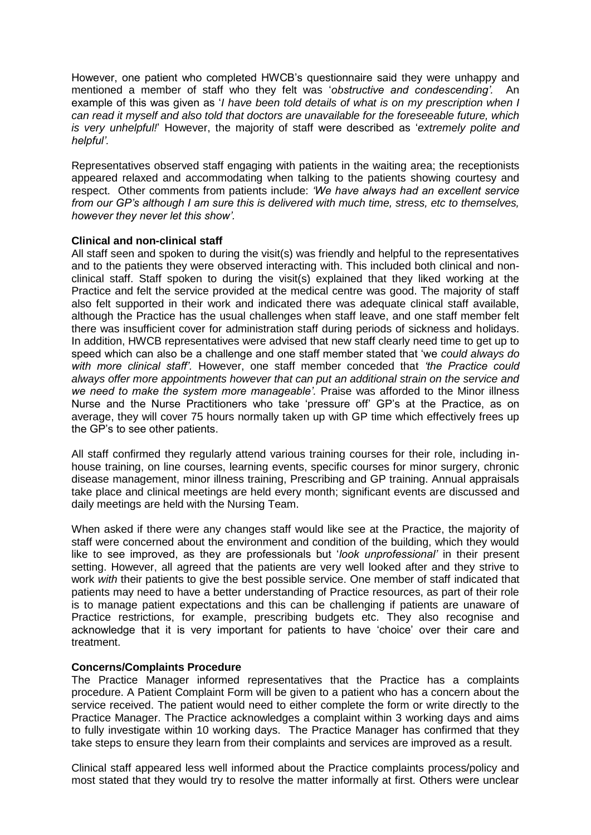However, one patient who completed HWCB's questionnaire said they were unhappy and mentioned a member of staff who they felt was '*obstructive and condescending'.* An example of this was given as '*I have been told details of what is on my prescription when I can read it myself and also told that doctors are unavailable for the foreseeable future, which is very unhelpful!*' However, the majority of staff were described as '*extremely polite and helpful'.*

Representatives observed staff engaging with patients in the waiting area; the receptionists appeared relaxed and accommodating when talking to the patients showing courtesy and respect. Other comments from patients include: *'We have always had an excellent service from our GP's although I am sure this is delivered with much time, stress, etc to themselves, however they never let this show'.*

#### **Clinical and non-clinical staff**

All staff seen and spoken to during the visit(s) was friendly and helpful to the representatives and to the patients they were observed interacting with. This included both clinical and nonclinical staff. Staff spoken to during the visit(s) explained that they liked working at the Practice and felt the service provided at the medical centre was good. The majority of staff also felt supported in their work and indicated there was adequate clinical staff available, although the Practice has the usual challenges when staff leave, and one staff member felt there was insufficient cover for administration staff during periods of sickness and holidays. In addition, HWCB representatives were advised that new staff clearly need time to get up to speed which can also be a challenge and one staff member stated that 'we *could always do with more clinical staff'.* However, one staff member conceded that *'the Practice could always offer more appointments however that can put an additional strain on the service and we need to make the system more manageable'.* Praise was afforded to the Minor illness Nurse and the Nurse Practitioners who take 'pressure off' GP's at the Practice, as on average, they will cover 75 hours normally taken up with GP time which effectively frees up the GP's to see other patients.

All staff confirmed they regularly attend various training courses for their role, including inhouse training, on line courses, learning events, specific courses for minor surgery, chronic disease management, minor illness training, Prescribing and GP training. Annual appraisals take place and clinical meetings are held every month; significant events are discussed and daily meetings are held with the Nursing Team.

When asked if there were any changes staff would like see at the Practice, the majority of staff were concerned about the environment and condition of the building, which they would like to see improved, as they are professionals but '*look unprofessional'* in their present setting. However, all agreed that the patients are very well looked after and they strive to work *with* their patients to give the best possible service. One member of staff indicated that patients may need to have a better understanding of Practice resources, as part of their role is to manage patient expectations and this can be challenging if patients are unaware of Practice restrictions, for example, prescribing budgets etc. They also recognise and acknowledge that it is very important for patients to have 'choice' over their care and treatment.

#### **Concerns/Complaints Procedure**

The Practice Manager informed representatives that the Practice has a complaints procedure. A Patient Complaint Form will be given to a patient who has a concern about the service received. The patient would need to either complete the form or write directly to the Practice Manager. The Practice acknowledges a complaint within 3 working days and aims to fully investigate within 10 working days. The Practice Manager has confirmed that they take steps to ensure they learn from their complaints and services are improved as a result.

Clinical staff appeared less well informed about the Practice complaints process/policy and most stated that they would try to resolve the matter informally at first. Others were unclear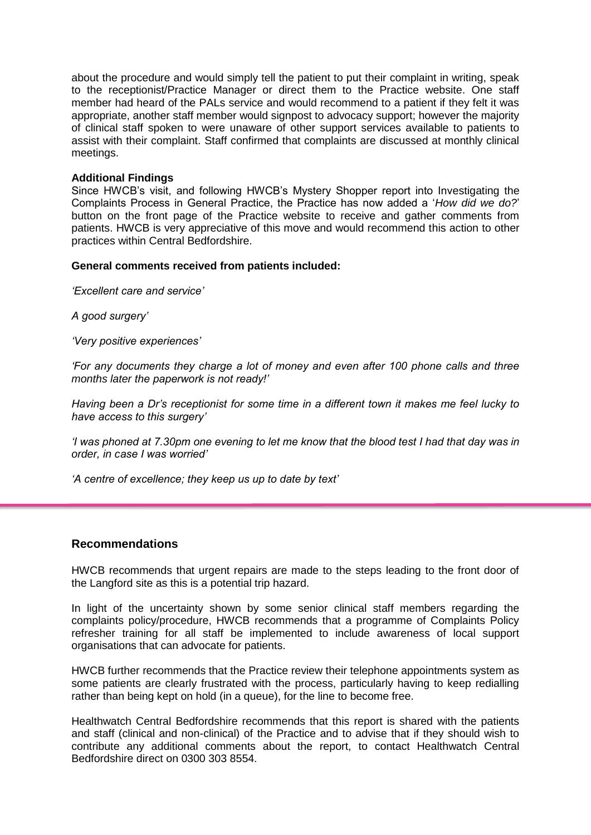about the procedure and would simply tell the patient to put their complaint in writing, speak to the receptionist/Practice Manager or direct them to the Practice website. One staff member had heard of the PALs service and would recommend to a patient if they felt it was appropriate, another staff member would signpost to advocacy support; however the majority of clinical staff spoken to were unaware of other support services available to patients to assist with their complaint. Staff confirmed that complaints are discussed at monthly clinical meetings.

#### **Additional Findings**

Since HWCB's visit, and following HWCB's Mystery Shopper report into Investigating the Complaints Process in General Practice, the Practice has now added a '*How did we do?*' button on the front page of the Practice website to receive and gather comments from patients. HWCB is very appreciative of this move and would recommend this action to other practices within Central Bedfordshire.

#### **General comments received from patients included:**

*'Excellent care and service'*

*A good surgery'*

*'Very positive experiences'*

*'For any documents they charge a lot of money and even after 100 phone calls and three months later the paperwork is not ready!'*

*Having been a Dr's receptionist for some time in a different town it makes me feel lucky to have access to this surgery'*

*'I was phoned at 7.30pm one evening to let me know that the blood test I had that day was in order, in case I was worried'*

*'A centre of excellence; they keep us up to date by text'*

#### **Recommendations**

HWCB recommends that urgent repairs are made to the steps leading to the front door of the Langford site as this is a potential trip hazard.

In light of the uncertainty shown by some senior clinical staff members regarding the complaints policy/procedure, HWCB recommends that a programme of Complaints Policy refresher training for all staff be implemented to include awareness of local support organisations that can advocate for patients.

HWCB further recommends that the Practice review their telephone appointments system as some patients are clearly frustrated with the process, particularly having to keep redialling rather than being kept on hold (in a queue), for the line to become free.

Healthwatch Central Bedfordshire recommends that this report is shared with the patients and staff (clinical and non-clinical) of the Practice and to advise that if they should wish to contribute any additional comments about the report, to contact Healthwatch Central Bedfordshire direct on 0300 303 8554.